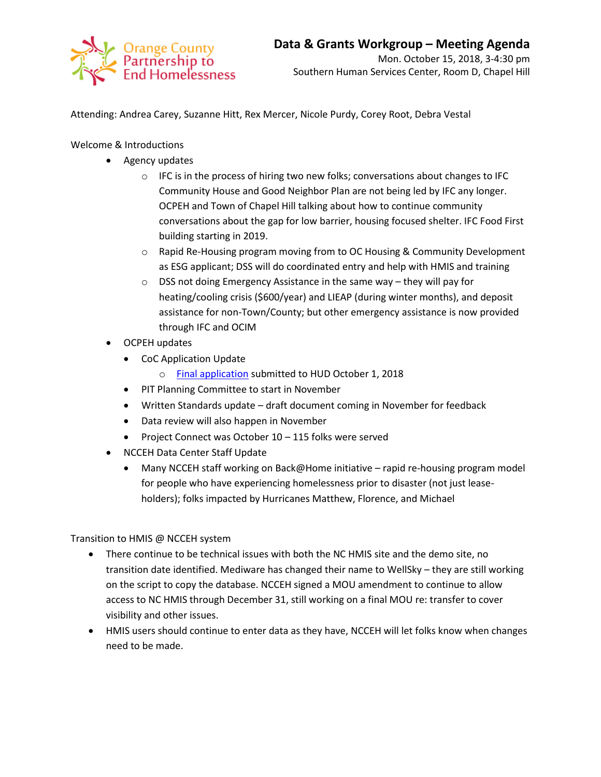

Attending: Andrea Carey, Suzanne Hitt, Rex Mercer, Nicole Purdy, Corey Root, Debra Vestal

Welcome & Introductions

- Agency updates
	- $\circ$  IFC is in the process of hiring two new folks; conversations about changes to IFC Community House and Good Neighbor Plan are not being led by IFC any longer. OCPEH and Town of Chapel Hill talking about how to continue community conversations about the gap for low barrier, housing focused shelter. IFC Food First building starting in 2019.
	- o Rapid Re-Housing program moving from to OC Housing & Community Development as ESG applicant; DSS will do coordinated entry and help with HMIS and training
	- o DSS not doing Emergency Assistance in the same way they will pay for heating/cooling crisis (\$600/year) and LIEAP (during winter months), and deposit assistance for non-Town/County; but other emergency assistance is now provided through IFC and OCIM
- OCPEH updates
	- CoC Application Update
		- o [Final application](https://docs.wixstatic.com/ugd/750b3b_42a675e2719f46fdb096c7513cd825a5.pdf) submitted to HUD October 1, 2018
	- PIT Planning Committee to start in November
	- Written Standards update draft document coming in November for feedback
	- Data review will also happen in November
	- Project Connect was October 10 115 folks were served
- NCCEH Data Center Staff Update
	- Many NCCEH staff working on Back@Home initiative rapid re-housing program model for people who have experiencing homelessness prior to disaster (not just leaseholders); folks impacted by Hurricanes Matthew, Florence, and Michael

Transition to HMIS @ NCCEH system

- There continue to be technical issues with both the NC HMIS site and the demo site, no transition date identified. Mediware has changed their name to WellSky – they are still working on the script to copy the database. NCCEH signed a MOU amendment to continue to allow access to NC HMIS through December 31, still working on a final MOU re: transfer to cover visibility and other issues.
- HMIS users should continue to enter data as they have, NCCEH will let folks know when changes need to be made.